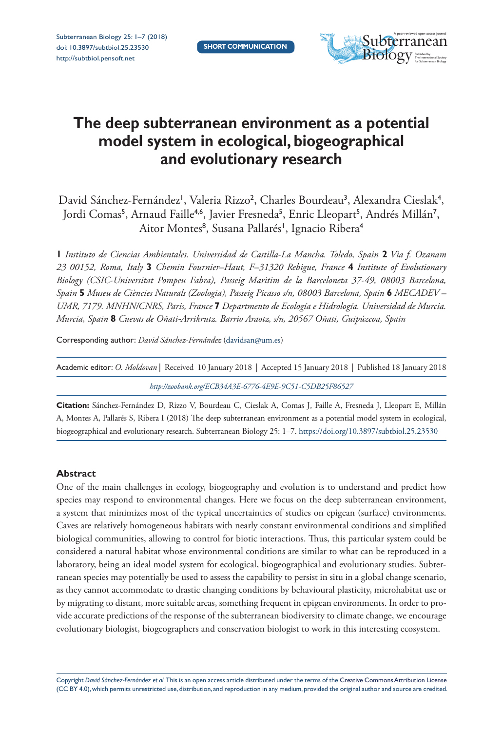

# **The deep subterranean environment as a potential model system in ecological, biogeographical and evolutionary research**

David Sánchez-Fernández<sup>i</sup>, Valeria Rizzo<sup>2</sup>, Charles Bourdeau<sup>3</sup>, Alexandra Cieslak<sup>4</sup>, Jordi Comas<sup>5</sup>, Arnaud Faille<sup>4,6</sup>, Javier Fresneda<sup>5</sup>, Enric Lleopart<sup>5</sup>, Andrés Millán<sup>7</sup>, Aitor Montes<sup>8</sup>, Susana Pallarés', Ignacio Ribera<sup>4</sup>

**1** *Instituto de Ciencias Ambientales. Universidad de Castilla-La Mancha. Toledo, Spain* **2** *Via f. Ozanam 23 00152, Roma, Italy* **3** *Chemin Fournier–Haut, F–31320 Rebigue, France* **4** *Institute of Evolutionary Biology (CSIC-Universitat Pompeu Fabra), Passeig Maritim de la Barceloneta 37-49, 08003 Barcelona, Spain* **5** *Museu de Ciències Naturals (Zoologia), Passeig Picasso s/n, 08003 Barcelona, Spain* **6** *MECADEV – UMR, 7179. MNHN/CNRS, Paris, France* **7** *Departmento de Ecología e Hidrología. Universidad de Murcia. Murcia, Spain* **8** *Cuevas de Oñati-Arrikrutz. Barrio Araotz, s/n, 20567 Oñati, Guipúzcoa, Spain*

Corresponding author: *David Sánchez-Fernández* [\(davidsan@um.es](mailto:davidsan@um.es))

| Academic editor: O. Moldovan Received 10 January 2018   Accepted 15 January 2018   Published 18 January 2018 |  |
|--------------------------------------------------------------------------------------------------------------|--|
| http://zoobank.org/ECB34A3E-6776-4E9E-9C51-C5DB25F86527                                                      |  |

**Citation:** Sánchez-Fernández D, Rizzo V, Bourdeau C, Cieslak A, Comas J, Faille A, Fresneda J, Lleopart E, Millán A, Montes A, Pallarés S, Ribera I (2018) The deep subterranean environment as a potential model system in ecological, biogeographical and evolutionary research. Subterranean Biology 25: 1–7.<https://doi.org/10.3897/subtbiol.25.23530>

## **Abstract**

One of the main challenges in ecology, biogeography and evolution is to understand and predict how species may respond to environmental changes. Here we focus on the deep subterranean environment, a system that minimizes most of the typical uncertainties of studies on epigean (surface) environments. Caves are relatively homogeneous habitats with nearly constant environmental conditions and simplified biological communities, allowing to control for biotic interactions. Thus, this particular system could be considered a natural habitat whose environmental conditions are similar to what can be reproduced in a laboratory, being an ideal model system for ecological, biogeographical and evolutionary studies. Subterranean species may potentially be used to assess the capability to persist in situ in a global change scenario, as they cannot accommodate to drastic changing conditions by behavioural plasticity, microhabitat use or by migrating to distant, more suitable areas, something frequent in epigean environments. In order to provide accurate predictions of the response of the subterranean biodiversity to climate change, we encourage evolutionary biologist, biogeographers and conservation biologist to work in this interesting ecosystem.

Copyright *David Sánchez-Fernández et al.* This is an open access article distributed under the terms of the [Creative Commons Attribution License](http://creativecommons.org/licenses/by/4.0/) [\(CC BY 4.0\)](http://creativecommons.org/licenses/by/4.0/), which permits unrestricted use, distribution, and reproduction in any medium, provided the original author and source are credited.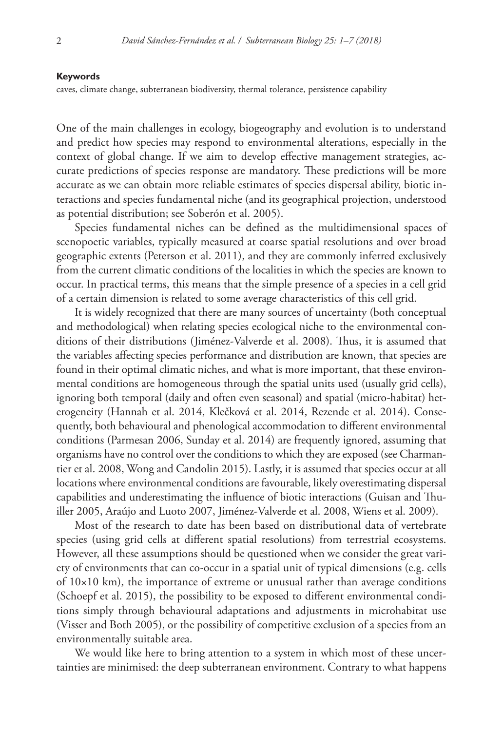#### **Keywords**

caves, climate change, subterranean biodiversity, thermal tolerance, persistence capability

One of the main challenges in ecology, biogeography and evolution is to understand and predict how species may respond to environmental alterations, especially in the context of global change. If we aim to develop effective management strategies, accurate predictions of species response are mandatory. These predictions will be more accurate as we can obtain more reliable estimates of species dispersal ability, biotic interactions and species fundamental niche (and its geographical projection, understood as potential distribution; see Soberón et al. 2005).

Species fundamental niches can be defined as the multidimensional spaces of scenopoetic variables, typically measured at coarse spatial resolutions and over broad geographic extents (Peterson et al. 2011), and they are commonly inferred exclusively from the current climatic conditions of the localities in which the species are known to occur. In practical terms, this means that the simple presence of a species in a cell grid of a certain dimension is related to some average characteristics of this cell grid.

It is widely recognized that there are many sources of uncertainty (both conceptual and methodological) when relating species ecological niche to the environmental conditions of their distributions (Jiménez-Valverde et al. 2008). Thus, it is assumed that the variables affecting species performance and distribution are known, that species are found in their optimal climatic niches, and what is more important, that these environmental conditions are homogeneous through the spatial units used (usually grid cells), ignoring both temporal (daily and often even seasonal) and spatial (micro-habitat) heterogeneity (Hannah et al. 2014, Klečková et al. 2014, Rezende et al. 2014). Consequently, both behavioural and phenological accommodation to different environmental conditions (Parmesan 2006, Sunday et al. 2014) are frequently ignored, assuming that organisms have no control over the conditions to which they are exposed (see Charmantier et al. 2008, Wong and Candolin 2015). Lastly, it is assumed that species occur at all locations where environmental conditions are favourable, likely overestimating dispersal capabilities and underestimating the influence of biotic interactions (Guisan and Thuiller 2005, Araújo and Luoto 2007, Jiménez-Valverde et al. 2008, Wiens et al. 2009).

Most of the research to date has been based on distributional data of vertebrate species (using grid cells at different spatial resolutions) from terrestrial ecosystems. However, all these assumptions should be questioned when we consider the great variety of environments that can co-occur in a spatial unit of typical dimensions (e.g. cells of 10×10 km), the importance of extreme or unusual rather than average conditions (Schoepf et al. 2015), the possibility to be exposed to different environmental conditions simply through behavioural adaptations and adjustments in microhabitat use (Visser and Both 2005), or the possibility of competitive exclusion of a species from an environmentally suitable area.

We would like here to bring attention to a system in which most of these uncertainties are minimised: the deep subterranean environment. Contrary to what happens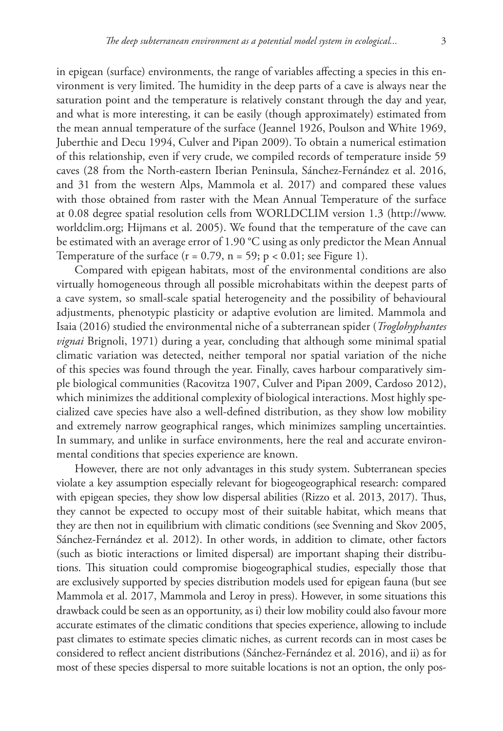in epigean (surface) environments, the range of variables affecting a species in this environment is very limited. The humidity in the deep parts of a cave is always near the saturation point and the temperature is relatively constant through the day and year, and what is more interesting, it can be easily (though approximately) estimated from the mean annual temperature of the surface (Jeannel 1926, Poulson and White 1969, Juberthie and Decu 1994, Culver and Pipan 2009). To obtain a numerical estimation of this relationship, even if very crude, we compiled records of temperature inside 59 caves (28 from the North-eastern Iberian Peninsula, Sánchez-Fernández et al. 2016, and 31 from the western Alps, Mammola et al. 2017) and compared these values with those obtained from raster with the Mean Annual Temperature of the surface at 0.08 degree spatial resolution cells from WORLDCLIM version 1.3 ([http://www.](http://www.worldclim.org) [worldclim.org](http://www.worldclim.org); Hijmans et al. 2005). We found that the temperature of the cave can be estimated with an average error of 1.90 °C using as only predictor the Mean Annual Temperature of the surface  $(r = 0.79, n = 59; p < 0.01;$  see Figure 1).

Compared with epigean habitats, most of the environmental conditions are also virtually homogeneous through all possible microhabitats within the deepest parts of a cave system, so small-scale spatial heterogeneity and the possibility of behavioural adjustments, phenotypic plasticity or adaptive evolution are limited. Mammola and Isaia (2016) studied the environmental niche of a subterranean spider (*Troglohyphantes vignai* Brignoli, 1971) during a year, concluding that although some minimal spatial climatic variation was detected, neither temporal nor spatial variation of the niche of this species was found through the year. Finally, caves harbour comparatively simple biological communities (Racovitza 1907, Culver and Pipan 2009, Cardoso 2012), which minimizes the additional complexity of biological interactions. Most highly specialized cave species have also a well-defined distribution, as they show low mobility and extremely narrow geographical ranges, which minimizes sampling uncertainties. In summary, and unlike in surface environments, here the real and accurate environmental conditions that species experience are known.

However, there are not only advantages in this study system. Subterranean species violate a key assumption especially relevant for biogeogeographical research: compared with epigean species, they show low dispersal abilities (Rizzo et al. 2013, 2017). Thus, they cannot be expected to occupy most of their suitable habitat, which means that they are then not in equilibrium with climatic conditions (see Svenning and Skov 2005, Sánchez-Fernández et al. 2012). In other words, in addition to climate, other factors (such as biotic interactions or limited dispersal) are important shaping their distributions. This situation could compromise biogeographical studies, especially those that are exclusively supported by species distribution models used for epigean fauna (but see Mammola et al. 2017, Mammola and Leroy in press). However, in some situations this drawback could be seen as an opportunity, as i) their low mobility could also favour more accurate estimates of the climatic conditions that species experience, allowing to include past climates to estimate species climatic niches, as current records can in most cases be considered to reflect ancient distributions (Sánchez-Fernández et al. 2016), and ii) as for most of these species dispersal to more suitable locations is not an option, the only pos-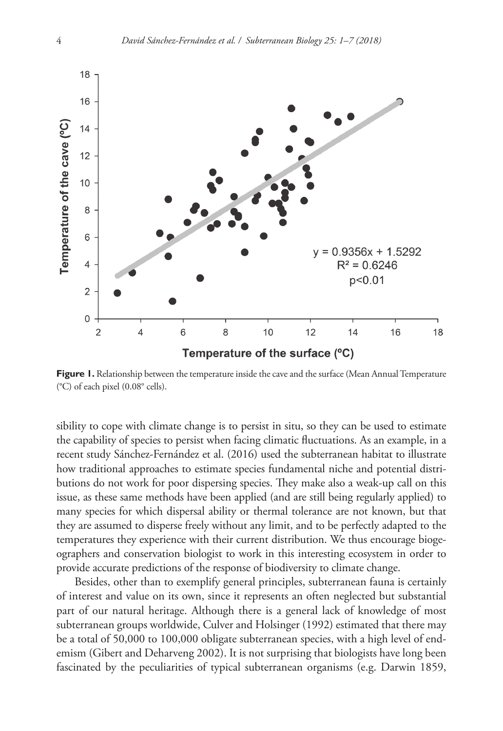

**Figure 1.** Relationship between the temperature inside the cave and the surface (Mean Annual Temperature (°C) of each pixel (0.08° cells).

sibility to cope with climate change is to persist in situ, so they can be used to estimate the capability of species to persist when facing climatic fluctuations. As an example, in a recent study Sánchez-Fernández et al. (2016) used the subterranean habitat to illustrate how traditional approaches to estimate species fundamental niche and potential distributions do not work for poor dispersing species. They make also a weak-up call on this issue, as these same methods have been applied (and are still being regularly applied) to many species for which dispersal ability or thermal tolerance are not known, but that they are assumed to disperse freely without any limit, and to be perfectly adapted to the temperatures they experience with their current distribution. We thus encourage biogeographers and conservation biologist to work in this interesting ecosystem in order to provide accurate predictions of the response of biodiversity to climate change.

Besides, other than to exemplify general principles, subterranean fauna is certainly of interest and value on its own, since it represents an often neglected but substantial part of our natural heritage. Although there is a general lack of knowledge of most subterranean groups worldwide, Culver and Holsinger (1992) estimated that there may be a total of 50,000 to 100,000 obligate subterranean species, with a high level of endemism (Gibert and Deharveng 2002). It is not surprising that biologists have long been fascinated by the peculiarities of typical subterranean organisms (e.g. Darwin 1859,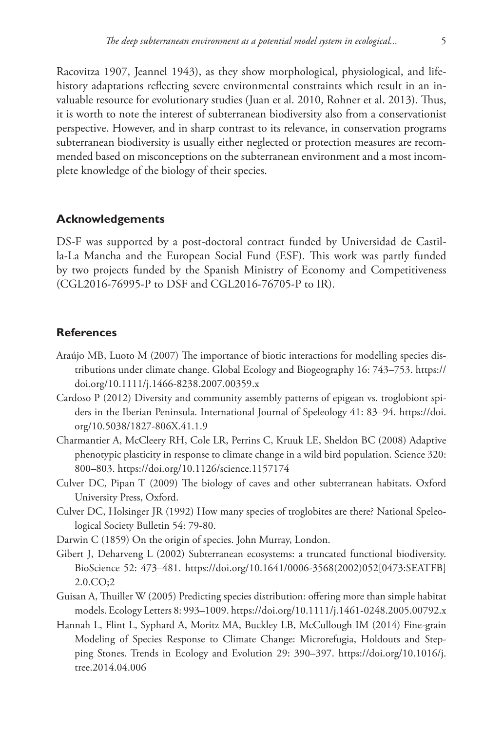Racovitza 1907, Jeannel 1943), as they show morphological, physiological, and lifehistory adaptations reflecting severe environmental constraints which result in an invaluable resource for evolutionary studies (Juan et al. 2010, Rohner et al. 2013). Thus, it is worth to note the interest of subterranean biodiversity also from a conservationist perspective. However, and in sharp contrast to its relevance, in conservation programs subterranean biodiversity is usually either neglected or protection measures are recommended based on misconceptions on the subterranean environment and a most incomplete knowledge of the biology of their species.

### **Acknowledgements**

DS-F was supported by a post-doctoral contract funded by Universidad de Castilla-La Mancha and the European Social Fund (ESF). This work was partly funded by two projects funded by the Spanish Ministry of Economy and Competitiveness (CGL2016-76995-P to DSF and CGL2016-76705-P to IR).

## **References**

- Araújo MB, Luoto M (2007) The importance of biotic interactions for modelling species distributions under climate change. Global Ecology and Biogeography 16: 743–753. [https://](https://doi.org/10.1111/j.1466-8238.2007.00359.x) [doi.org/10.1111/j.1466-8238.2007.00359.x](https://doi.org/10.1111/j.1466-8238.2007.00359.x)
- Cardoso P (2012) Diversity and community assembly patterns of epigean vs. troglobiont spiders in the Iberian Peninsula. International Journal of Speleology 41: 83–94. [https://doi.](https://doi.org/10.5038/1827-806X.41.1.9) [org/10.5038/1827-806X.41.1.9](https://doi.org/10.5038/1827-806X.41.1.9)
- Charmantier A, McCleery RH, Cole LR, Perrins C, Kruuk LE, Sheldon BC (2008) Adaptive phenotypic plasticity in response to climate change in a wild bird population. Science 320: 800–803.<https://doi.org/10.1126/science.1157174>
- Culver DC, Pipan T (2009) The biology of caves and other subterranean habitats. Oxford University Press, Oxford.
- Culver DC, Holsinger JR (1992) How many species of troglobites are there? National Speleological Society Bulletin 54: 79-80.
- Darwin C (1859) On the origin of species. John Murray, London.
- Gibert J, Deharveng L (2002) Subterranean ecosystems: a truncated functional biodiversity. BioScience 52: 473–481. [https://doi.org/10.1641/0006-3568\(2002\)052\[0473:SEATFB\]](https://doi.org/10.1641/0006-3568(2002)052%5B0473:SEATFB%5D2.0.CO;2) [2.0.CO;2](https://doi.org/10.1641/0006-3568(2002)052%5B0473:SEATFB%5D2.0.CO;2)
- Guisan A, Thuiller W (2005) Predicting species distribution: offering more than simple habitat models. Ecology Letters 8: 993–1009.<https://doi.org/10.1111/j.1461-0248.2005.00792.x>
- Hannah L, Flint L, Syphard A, Moritz MA, Buckley LB, McCullough IM (2014) Fine-grain Modeling of Species Response to Climate Change: Microrefugia, Holdouts and Stepping Stones. Trends in Ecology and Evolution 29: 390–397. [https://doi.org/10.1016/j.](https://doi.org/10.1016/j.tree.2014.04.006) [tree.2014.04.006](https://doi.org/10.1016/j.tree.2014.04.006)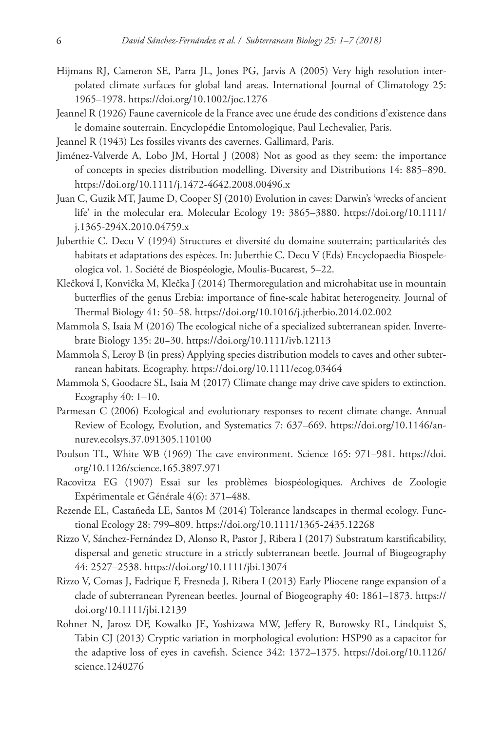- Hijmans RJ, Cameron SE, Parra JL, Jones PG, Jarvis A (2005) Very high resolution interpolated climate surfaces for global land areas. International Journal of Climatology 25: 1965–1978.<https://doi.org/10.1002/joc.1276>
- Jeannel R (1926) Faune cavernicole de la France avec une étude des conditions d'existence dans le domaine souterrain. Encyclopédie Entomologique, Paul Lechevalier, Paris.
- Jeannel R (1943) Les fossiles vivants des cavernes. Gallimard, Paris.
- Jiménez-Valverde A, Lobo JM, Hortal J (2008) Not as good as they seem: the importance of concepts in species distribution modelling. Diversity and Distributions 14: 885–890. <https://doi.org/10.1111/j.1472-4642.2008.00496.x>
- Juan C, Guzik MT, Jaume D, Cooper SJ (2010) Evolution in caves: Darwin's 'wrecks of ancient life' in the molecular era. Molecular Ecology 19: 3865–3880. [https://doi.org/10.1111/](https://doi.org/10.1111/j.1365-294X.2010.04759.x) [j.1365-294X.2010.04759.x](https://doi.org/10.1111/j.1365-294X.2010.04759.x)
- Juberthie C, Decu V (1994) Structures et diversité du domaine souterrain; particularités des habitats et adaptations des espèces. In: Juberthie C, Decu V (Eds) Encyclopaedia Biospeleologica vol. 1. Société de Biospéologie, Moulis-Bucarest, 5–22.
- Klečková I, Konvička M, Klečka J (2014) Thermoregulation and microhabitat use in mountain butterflies of the genus Erebia: importance of fine-scale habitat heterogeneity. Journal of Thermal Biology 41: 50–58.<https://doi.org/10.1016/j.jtherbio.2014.02.002>
- Mammola S, Isaia M (2016) The ecological niche of a specialized subterranean spider. Invertebrate Biology 135: 20−30.<https://doi.org/10.1111/ivb.12113>
- Mammola S, Leroy B (in press) Applying species distribution models to caves and other subterranean habitats. Ecography.<https://doi.org/10.1111/ecog.03464>
- Mammola S, Goodacre SL, Isaia M (2017) Climate change may drive cave spiders to extinction. Ecography  $40: 1-10$ .
- Parmesan C (2006) Ecological and evolutionary responses to recent climate change. Annual Review of Ecology, Evolution, and Systematics 7: 637–669. [https://doi.org/10.1146/an](https://doi.org/10.1146/annurev.ecolsys.37.091305.110100)[nurev.ecolsys.37.091305.110100](https://doi.org/10.1146/annurev.ecolsys.37.091305.110100)
- Poulson TL, White WB (1969) The cave environment. Science 165: 971–981. [https://doi.](https://doi.org/10.1126/science.165.3897.971) [org/10.1126/science.165.3897.971](https://doi.org/10.1126/science.165.3897.971)
- Racovitza EG (1907) Essai sur les problèmes biospéologiques. Archives de Zoologie Expérimentale et Générale 4(6): 371–488.
- Rezende EL, Castañeda LE, Santos M (2014) Tolerance landscapes in thermal ecology. Functional Ecology 28: 799–809. <https://doi.org/10.1111/1365-2435.12268>
- Rizzo V, Sánchez-Fernández D, Alonso R, Pastor J, Ribera I (2017) Substratum karstificability, dispersal and genetic structure in a strictly subterranean beetle. Journal of Biogeography 44: 2527–2538.<https://doi.org/10.1111/jbi.13074>
- Rizzo V, Comas J, Fadrique F, Fresneda J, Ribera I (2013) Early Pliocene range expansion of a clade of subterranean Pyrenean beetles. Journal of Biogeography 40: 1861–1873. [https://](https://doi.org/10.1111/jbi.12139) [doi.org/10.1111/jbi.12139](https://doi.org/10.1111/jbi.12139)
- Rohner N, Jarosz DF, Kowalko JE, Yoshizawa MW, Jeffery R, Borowsky RL, Lindquist S, Tabin CJ (2013) Cryptic variation in morphological evolution: HSP90 as a capacitor for the adaptive loss of eyes in cavefish. Science 342: 1372–1375. [https://doi.org/10.1126/](https://doi.org/10.1126/science.1240276) [science.1240276](https://doi.org/10.1126/science.1240276)